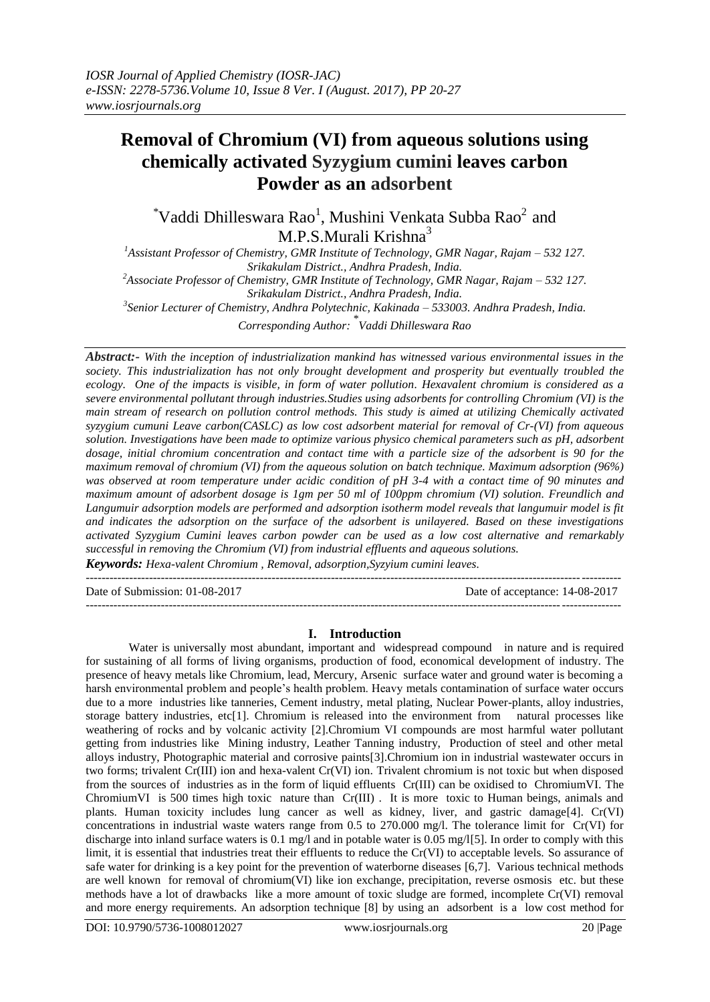# **Removal of Chromium (VI) from aqueous solutions using chemically activated Syzygium cumini leaves carbon Powder as an adsorbent**

 $\alpha^*$ Vaddi Dhilleswara Rao<sup>1</sup>, Mushini Venkata Subba Rao<sup>2</sup> and M.P.S.Murali Krishna<sup>3</sup>

*<sup>1</sup>Assistant Professor of Chemistry, GMR Institute of Technology, GMR Nagar, Rajam – 532 127. Srikakulam District., Andhra Pradesh, India.*

*<sup>2</sup>Associate Professor of Chemistry, GMR Institute of Technology, GMR Nagar, Rajam – 532 127. Srikakulam District., Andhra Pradesh, India.*

*3 Senior Lecturer of Chemistry, Andhra Polytechnic, Kakinada – 533003. Andhra Pradesh, India.*

*Corresponding Author:* \* *Vaddi Dhilleswara Rao*

*Abstract:- With the inception of industrialization mankind has witnessed various environmental issues in the society. This industrialization has not only brought development and prosperity but eventually troubled the ecology. One of the impacts is visible, in form of water pollution. Hexavalent chromium is considered as a severe environmental pollutant through industries.Studies using adsorbents for controlling Chromium (VI) is the main stream of research on pollution control methods. This study is aimed at utilizing Chemically activated syzygium cumuni Leave carbon(CASLC) as low cost adsorbent material for removal of Cr-(VI) from aqueous solution. Investigations have been made to optimize various physico chemical parameters such as pH, adsorbent dosage, initial chromium concentration and contact time with a particle size of the adsorbent is 90 for the maximum removal of chromium (VI) from the aqueous solution on batch technique. Maximum adsorption (96%) was observed at room temperature under acidic condition of pH 3-4 with a contact time of 90 minutes and maximum amount of adsorbent dosage is 1gm per 50 ml of 100ppm chromium (VI) solution. Freundlich and Langumuir adsorption models are performed and adsorption isotherm model reveals that langumuir model is fit and indicates the adsorption on the surface of the adsorbent is unilayered. Based on these investigations activated Syzygium Cumini leaves carbon powder can be used as a low cost alternative and remarkably successful in removing the Chromium (VI) from industrial effluents and aqueous solutions.*

*Keywords: Hexa-valent Chromium , Removal, adsorption,Syzyium cumini leaves.*  $-1\leq i\leq n-1\leq n-1\leq n-1\leq n-1\leq n-1\leq n-1\leq n-1\leq n-1\leq n-1\leq n-1\leq n-1\leq n-1\leq n-1\leq n-1\leq n-1\leq n-1\leq n-1\leq n-1\leq n-1\leq n-1\leq n-1\leq n-1\leq n-1\leq n-1\leq n-1\leq n-1\leq n-1\leq n-1\leq n-1\leq n-1\leq n-1\leq n-1\leq n-1\leq n-1\leq n-1\leq n$ 

Date of Submission: 01-08-2017 Date of acceptance: 14-08-2017

---------------------------------------------------------------------------------------------------------------------------------------

## **I. Introduction**

Water is universally most abundant, important and widespread compound in nature and is required for sustaining of all forms of living organisms, production of food, economical development of industry. The presence of heavy metals like Chromium, lead, Mercury, Arsenic surface water and ground water is becoming a harsh environmental problem and people's health problem. Heavy metals contamination of surface water occurs due to a more industries like tanneries, Cement industry, metal plating, Nuclear Power-plants, alloy industries, storage battery industries, etc[1]. Chromium is released into the environment from natural processes like weathering of rocks and by volcanic activity [2].Chromium VI compounds are most harmful water pollutant getting from industries like Mining industry, Leather Tanning industry, Production of steel and other metal alloys industry, Photographic material and corrosive paints[3].Chromium ion in industrial wastewater occurs in two forms; trivalent Cr(III) ion and hexa-valent Cr(VI) ion. Trivalent chromium is not toxic but when disposed from the sources of industries as in the form of liquid effluents Cr(III) can be oxidised to ChromiumVI. The ChromiumVI is 500 times high toxic nature than Cr(III) . It is more toxic to Human beings, animals and plants. Human toxicity includes lung cancer as well as kidney, liver, and gastric damage[4]. Cr(VI) concentrations in industrial waste waters range from 0.5 to 270.000 mg/l. The tolerance limit for Cr(VI) for discharge into inland surface waters is 0.1 mg/l and in potable water is 0.05 mg/l[5]. In order to comply with this limit, it is essential that industries treat their effluents to reduce the Cr(VI) to acceptable levels. So assurance of safe water for drinking is a key point for the prevention of waterborne diseases [6,7]. Various technical methods are well known for removal of chromium(VI) like ion exchange, precipitation, reverse osmosis etc. but these methods have a lot of drawbacks like a more amount of toxic sludge are formed, incomplete Cr(VI) removal and more energy requirements. An adsorption technique [8] by using an adsorbent is a low cost method for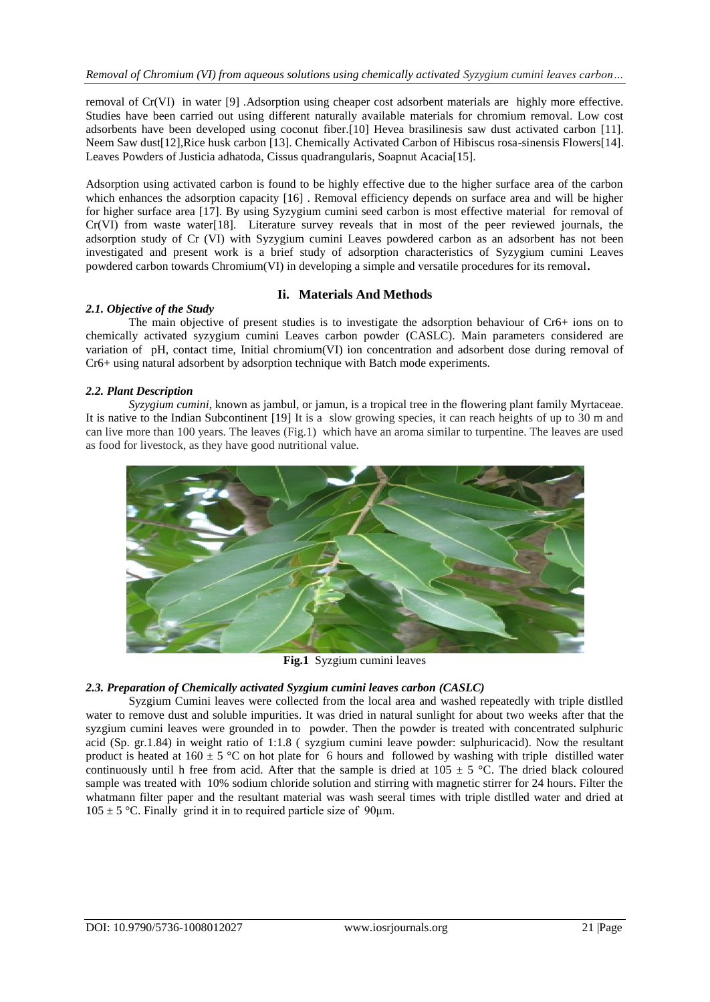removal of Cr(VI) in water [9] .Adsorption using cheaper cost adsorbent materials are highly more effective. Studies have been carried out using different naturally available materials for chromium removal. Low cost adsorbents have been developed using coconut fiber.[10] Hevea brasilinesis saw dust activated carbon [11]. Neem Saw dust[12],Rice husk carbon [13]. Chemically Activated Carbon of Hibiscus rosa-sinensis Flowers[14]. Leaves Powders of Justicia adhatoda, Cissus quadrangularis, Soapnut Acacia[15].

Adsorption using activated carbon is found to be highly effective due to the higher surface area of the carbon which enhances the adsorption capacity [16]. Removal efficiency depends on surface area and will be higher for higher surface area [17]. By using Syzygium cumini seed carbon is most effective material for removal of Cr(VI) from waste water[18]. Literature survey reveals that in most of the peer reviewed journals, the adsorption study of Cr (VI) with Syzygium cumini Leaves powdered carbon as an adsorbent has not been investigated and present work is a brief study of adsorption characteristics of Syzygium cumini Leaves powdered carbon towards Chromium(VI) in developing a simple and versatile procedures for its removal**.**

# **Ii. Materials And Methods**

# *2.1. Objective of the Study*

The main objective of present studies is to investigate the adsorption behaviour of Cr6+ ions on to chemically activated syzygium cumini Leaves carbon powder (CASLC). Main parameters considered are variation of pH, contact time, Initial chromium(VI) ion concentration and adsorbent dose during removal of Cr6+ using natural adsorbent by adsorption technique with Batch mode experiments.

# *2.2. Plant Description*

*Syzygium cumini*, known as jambul, or jamun, is a tropical [tree](https://en.wikipedia.org/wiki/Tree) in the [flowering plant](https://en.wikipedia.org/wiki/Flowering_plant) family [Myrtaceae.](https://en.wikipedia.org/wiki/Myrtaceae) It is native to the [Indian Subcontinent](https://en.wikipedia.org/wiki/Indian_Subcontinent) [19] It is a slow growing species, it can reach heights of up to 30 m and can live more than 100 years. The leaves (Fig.1) which have an aroma similar to turpentine. The leaves are used as food for livestock, as they have good nutritional value.



**Fig.1** Syzgium cumini leaves

## *2.3. Preparation of Chemically activated Syzgium cumini leaves carbon (CASLC)*

Syzgium Cumini leaves were collected from the local area and washed repeatedly with triple distlled water to remove dust and soluble impurities. It was dried in natural sunlight for about two weeks after that the syzgium cumini leaves were grounded in to powder. Then the powder is treated with concentrated sulphuric acid (Sp. gr.1.84) in weight ratio of 1:1.8 ( syzgium cumini leave powder: sulphuricacid). Now the resultant product is heated at  $160 \pm 5$  °C on hot plate for 6 hours and followed by washing with triple distilled water continuously until h free from acid. After that the sample is dried at  $105 \pm 5$  °C. The dried black coloured sample was treated with 10% sodium chloride solution and stirring with magnetic stirrer for 24 hours. Filter the whatmann filter paper and the resultant material was wash seeral times with triple distlled water and dried at  $105 \pm 5$  °C. Finally grind it in to required particle size of 90 µm.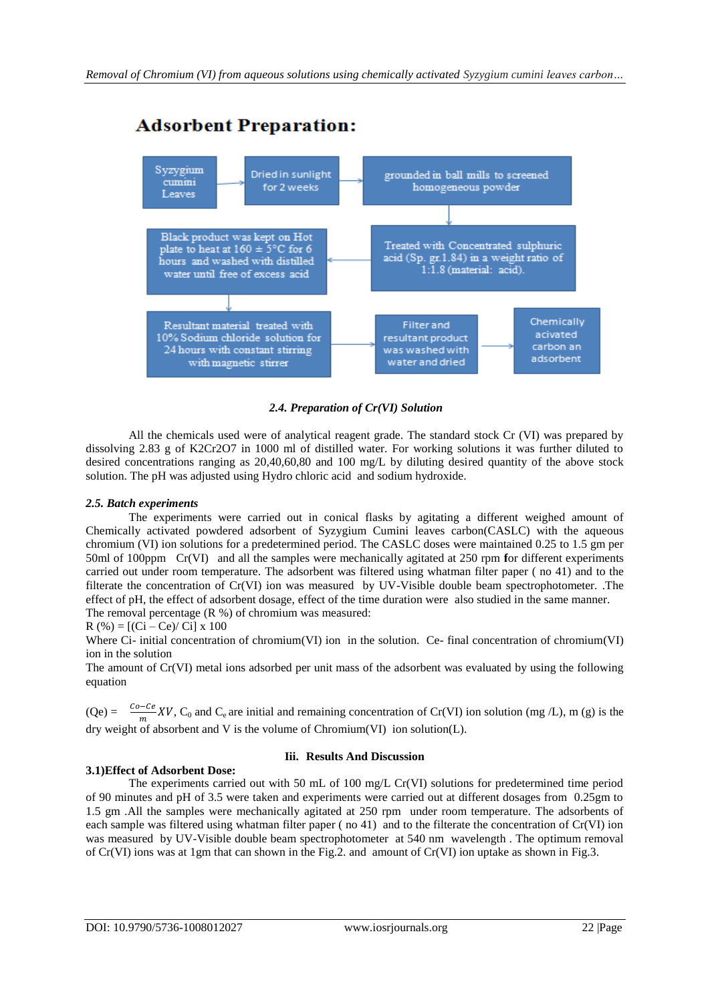

# **Adsorbent Preparation:**

*2.4. Preparation of Cr(VI) Solution*

All the chemicals used were of analytical reagent grade. The standard stock Cr (VI) was prepared by dissolving 2.83 g of K2Cr2O7 in 1000 ml of distilled water. For working solutions it was further diluted to desired concentrations ranging as 20,40,60,80 and 100 mg/L by diluting desired quantity of the above stock solution. The pH was adjusted using Hydro chloric acid and sodium hydroxide.

# *2.5. Batch experiments*

The experiments were carried out in conical flasks by agitating a different weighed amount of Chemically activated powdered adsorbent of Syzygium Cumini leaves carbon(CASLC) with the aqueous chromium (VI) ion solutions for a predetermined period. The CASLC doses were maintained 0.25 to 1.5 gm per 50ml of 100ppm Cr(VI) and all the samples were mechanically agitated at 250 rpm **f**or different experiments carried out under room temperature. The adsorbent was filtered using whatman filter paper ( no 41) and to the filterate the concentration of Cr(VI) ion was measured by UV-Visible double beam spectrophotometer. .The effect of pH, the effect of adsorbent dosage, effect of the time duration were also studied in the same manner. The removal percentage (R %) of chromium was measured:

 $R$  (%) = [(Ci – Ce)/ Ci] x 100

Where Ci- initial concentration of chromium(VI) ion in the solution. Ce- final concentration of chromium(VI) ion in the solution

The amount of Cr(VI) metal ions adsorbed per unit mass of the adsorbent was evaluated by using the following equation

 $(Qe) = \frac{Qe^2 - E}{m} XV$ ,  $C_0$  and  $C_e$  are initial and remaining concentration of Cr(VI) ion solution (mg /L), m (g) is the dry weight of absorbent and V is the volume of Chromium(VI) ion solution(L).

# **3.1)Effect of Adsorbent Dose:**

## **Iii. Results And Discussion**

The experiments carried out with 50 mL of 100 mg/L Cr(VI) solutions for predetermined time period of 90 minutes and pH of 3.5 were taken and experiments were carried out at different dosages from 0.25gm to 1.5 gm .All the samples were mechanically agitated at 250 rpm under room temperature. The adsorbents of each sample was filtered using whatman filter paper ( no 41) and to the filterate the concentration of Cr(VI) ion was measured by UV-Visible double beam spectrophotometer at 540 nm wavelength . The optimum removal of Cr(VI) ions was at 1gm that can shown in the Fig.2. and amount of Cr(VI) ion uptake as shown in Fig.3.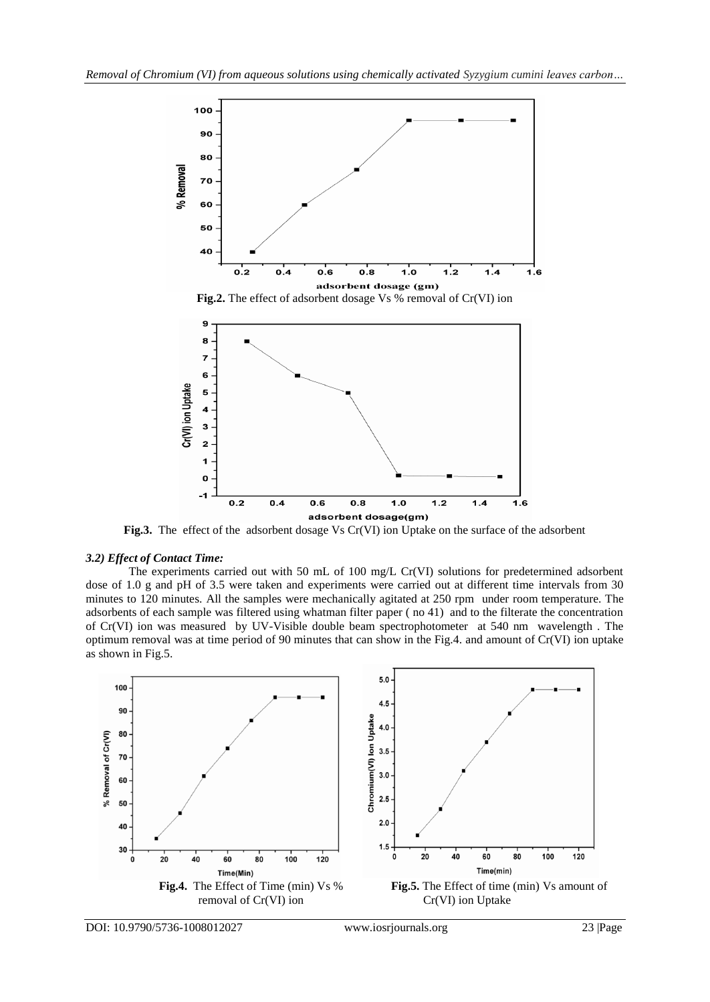

**Fig.3.** The effect of the adsorbent dosage Vs Cr(VI) ion Uptake on the surface of the adsorbent

## *3.2) Effect of Contact Time:*

The experiments carried out with 50 mL of 100 mg/L Cr(VI) solutions for predetermined adsorbent dose of 1.0 g and pH of 3.5 were taken and experiments were carried out at different time intervals from 30 minutes to 120 minutes. All the samples were mechanically agitated at 250 rpm under room temperature. The adsorbents of each sample was filtered using whatman filter paper ( no 41) and to the filterate the concentration of Cr(VI) ion was measured by UV-Visible double beam spectrophotometer at 540 nm wavelength . The optimum removal was at time period of 90 minutes that can show in the Fig.4. and amount of Cr(VI) ion uptake as shown in Fig.5.

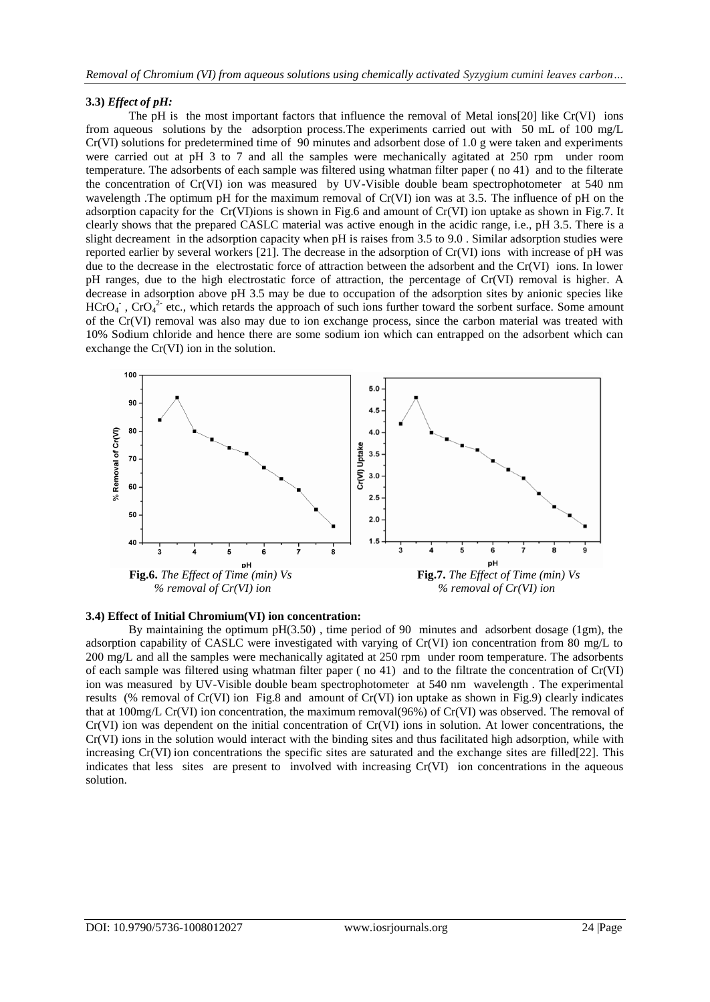# **3.3)** *Effect of pH:*

The pH is the most important factors that influence the removal of Metal ions[20] like Cr(VI) ions from aqueous solutions by the adsorption process.The experiments carried out with 50 mL of 100 mg/L Cr(VI) solutions for predetermined time of 90 minutes and adsorbent dose of 1.0 g were taken and experiments were carried out at pH 3 to 7 and all the samples were mechanically agitated at 250 rpm under room temperature. The adsorbents of each sample was filtered using whatman filter paper ( no 41) and to the filterate the concentration of Cr(VI) ion was measured by UV-Visible double beam spectrophotometer at 540 nm wavelength .The optimum pH for the maximum removal of Cr(VI) ion was at 3.5. The influence of pH on the adsorption capacity for the Cr(VI)ions is shown in Fig.6 and amount of Cr(VI) ion uptake as shown in Fig.7. It clearly shows that the prepared CASLC material was active enough in the acidic range, i.e., pH 3.5. There is a slight decreament in the adsorption capacity when pH is raises from 3.5 to 9.0 . Similar adsorption studies were reported earlier by several workers [21]. The decrease in the adsorption of Cr(VI) ions with increase of pH was due to the decrease in the electrostatic force of attraction between the adsorbent and the Cr(VI) ions. In lower pH ranges, due to the high electrostatic force of attraction, the percentage of Cr(VI) removal is higher. A decrease in adsorption above pH 3.5 may be due to occupation of the adsorption sites by anionic species like  $HCrO<sub>4</sub>$ ,  $CrO<sub>4</sub><sup>2</sup>$  etc., which retards the approach of such ions further toward the sorbent surface. Some amount of the Cr(VI) removal was also may due to ion exchange process, since the carbon material was treated with 10% Sodium chloride and hence there are some sodium ion which can entrapped on the adsorbent which can exchange the Cr(VI) ion in the solution.



#### **3.4) Effect of Initial Chromium(VI) ion concentration:**

By maintaining the optimum pH(3.50) , time period of 90 minutes and adsorbent dosage (1gm), the adsorption capability of CASLC were investigated with varying of Cr(VI) ion concentration from 80 mg/L to 200 mg/L and all the samples were mechanically agitated at 250 rpm under room temperature. The adsorbents of each sample was filtered using whatman filter paper ( no 41) and to the filtrate the concentration of Cr(VI) ion was measured by UV-Visible double beam spectrophotometer at 540 nm wavelength . The experimental results (% removal of Cr(VI) ion Fig.8 and amount of Cr(VI) ion uptake as shown in Fig.9) clearly indicates that at 100mg/L Cr(VI) ion concentration, the maximum removal(96%) of Cr(VI) was observed. The removal of Cr(VI) ion was dependent on the initial concentration of Cr(VI) ions in solution. At lower concentrations, the Cr(VI) ions in the solution would interact with the binding sites and thus facilitated high adsorption, while with increasing Cr(VI) ion concentrations the specific sites are saturated and the exchange sites are filled[22]. This indicates that less sites are present to involved with increasing Cr(VI) ion concentrations in the aqueous solution.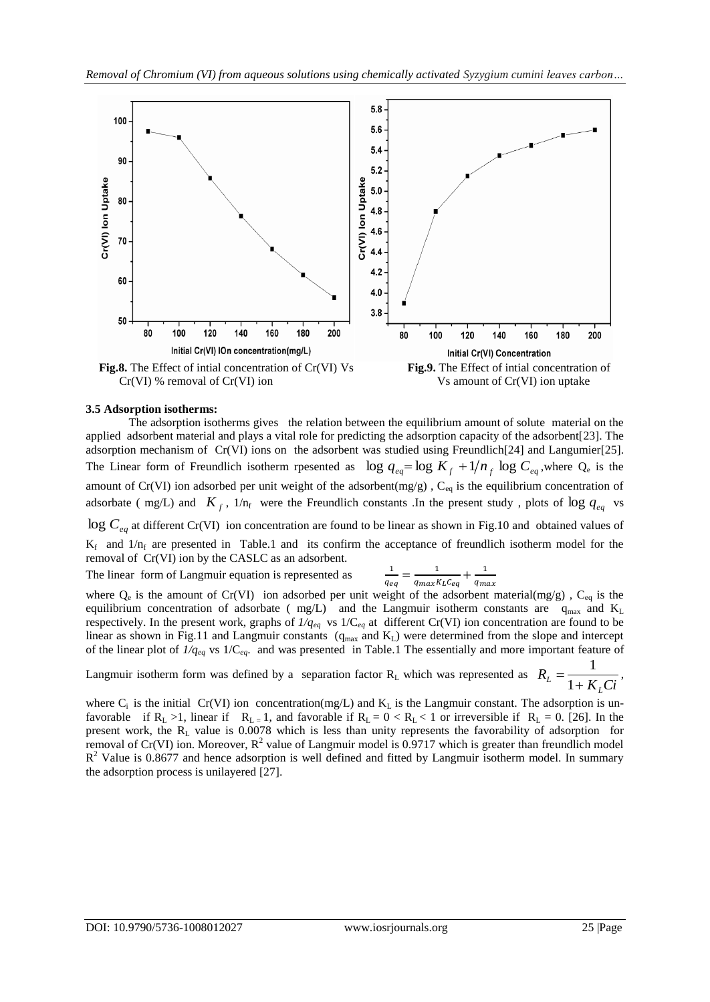

#### **3.5 Adsorption isotherms:**

The adsorption isotherms gives the relation between the equilibrium amount of solute material on the applied adsorbent material and plays a vital role for predicting the adsorption capacity of the adsorbent[23]. The adsorption mechanism of Cr(VI) ions on the adsorbent was studied using Freundlich[24] and Langumier[25]. The Linear form of Freundlich isotherm rpesented as  $\log q_{eq} = \log K_f + 1/n_f \log C_{eq}$ , where  $Q_e$  is the amount of Cr(VI) ion adsorbed per unit weight of the adsorbent(mg/g),  $C_{eq}$  is the equilibrium concentration of adsorbate ( mg/L) and  $K_f$ ,  $1/n_f$  were the Freundlich constants .In the present study, plots of  $\log q_{eq}$  vs  $\log C_{eq}$  at different Cr(VI) ion concentration are found to be linear as shown in Fig.10 and obtained values of  $K_f$  and  $1/n_f$  are presented in Table.1 and its confirm the acceptance of freundlich isotherm model for the removal of Cr(VI) ion by the CASLC as an adsorbent.

The linear form of Langmuir equation is represented as

$$
\frac{1}{q_{eq}} = \frac{1}{q_{max}K_L C_{eq}} + \frac{1}{q_{max}}
$$

where  $Q_e$  is the amount of Cr(VI) ion adsorbed per unit weight of the adsorbent material(mg/g),  $C_{eq}$  is the equilibrium concentration of adsorbate ( $mg/L$ ) and the Langmuir isotherm constants are  $q_{max}$  and  $K_L$ respectively. In the present work, graphs of  $1/q_{eq}$  vs  $1/C_{eq}$  at different Cr(VI) ion concentration are found to be linear as shown in Fig.11 and Langmuir constants  $(q_{max}$  and  $K_L$ ) were determined from the slope and intercept of the linear plot of *1/qeq* vs 1/C*eq*. and was presented in Table.1 The essentially and more important feature of

Langmuir isotherm form was defined by a separation factor R<sub>L</sub> which was represented as  $R_L = \frac{1}{1 + K_L Ci}$ *R L*  $L - \frac{L}{1+}$  $=$ 1  $\frac{1}{\sqrt{1-\frac{1}{n}}}$ 

where  $C_i$  is the initial Cr(VI) ion concentration(mg/L) and  $K_L$  is the Langmuir constant. The adsorption is unfavorable if  $R_L > 1$ , linear if  $R_L = 1$ , and favorable if  $R_L = 0 < R_L < 1$  or irreversible if  $R_L = 0$ . [26]. In the present work, the R<sub>L</sub> value is 0.0078 which is less than unity represents the favorability of adsorption for removal of Cr(VI) ion. Moreover,  $R^2$  value of Langmuir model is 0.9717 which is greater than freundlich model  $R<sup>2</sup>$  Value is 0.8677 and hence adsorption is well defined and fitted by Langmuir isotherm model. In summary the adsorption process is unilayered [27].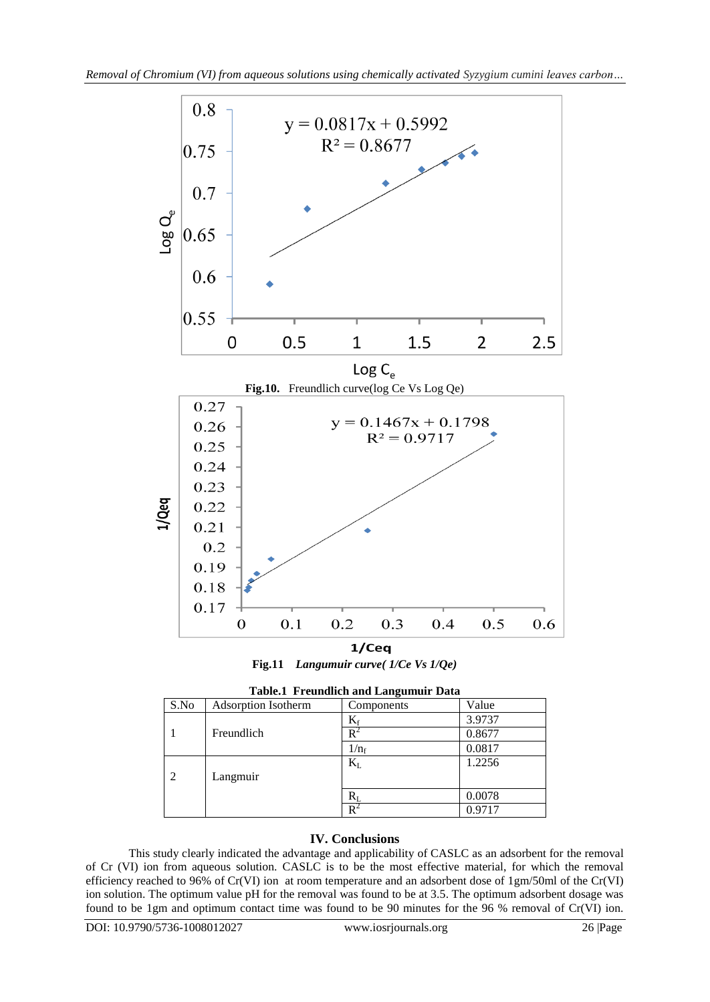

**Fig.11** *Langumuir curve( 1/Ce Vs 1/Qe)*

**Table.1 Freundlich and Langumuir Data**

| Table.I Freundheil and Languinun Data |                     |                 |        |
|---------------------------------------|---------------------|-----------------|--------|
| S.No                                  | Adsorption Isotherm | Components      | Value  |
|                                       |                     | $\rm K_{\rm f}$ | 3.9737 |
|                                       | Freundlich          | R               | 0.8677 |
|                                       |                     | $1/n_f$         | 0.0817 |
|                                       |                     | $\rm K_L$       | 1.2256 |
| 2                                     | Langmuir            |                 |        |
|                                       |                     | $\rm R_I$       | 0.0078 |
|                                       |                     | R               | 0.9717 |

# **IV. Conclusions**

This study clearly indicated the advantage and applicability of CASLC as an adsorbent for the removal of Cr (VI) ion from aqueous solution. CASLC is to be the most effective material, for which the removal efficiency reached to 96% of Cr(VI) ion at room temperature and an adsorbent dose of 1gm/50ml of the Cr(VI) ion solution. The optimum value pH for the removal was found to be at 3.5. The optimum adsorbent dosage was found to be 1gm and optimum contact time was found to be 90 minutes for the 96 % removal of Cr(VI) ion.